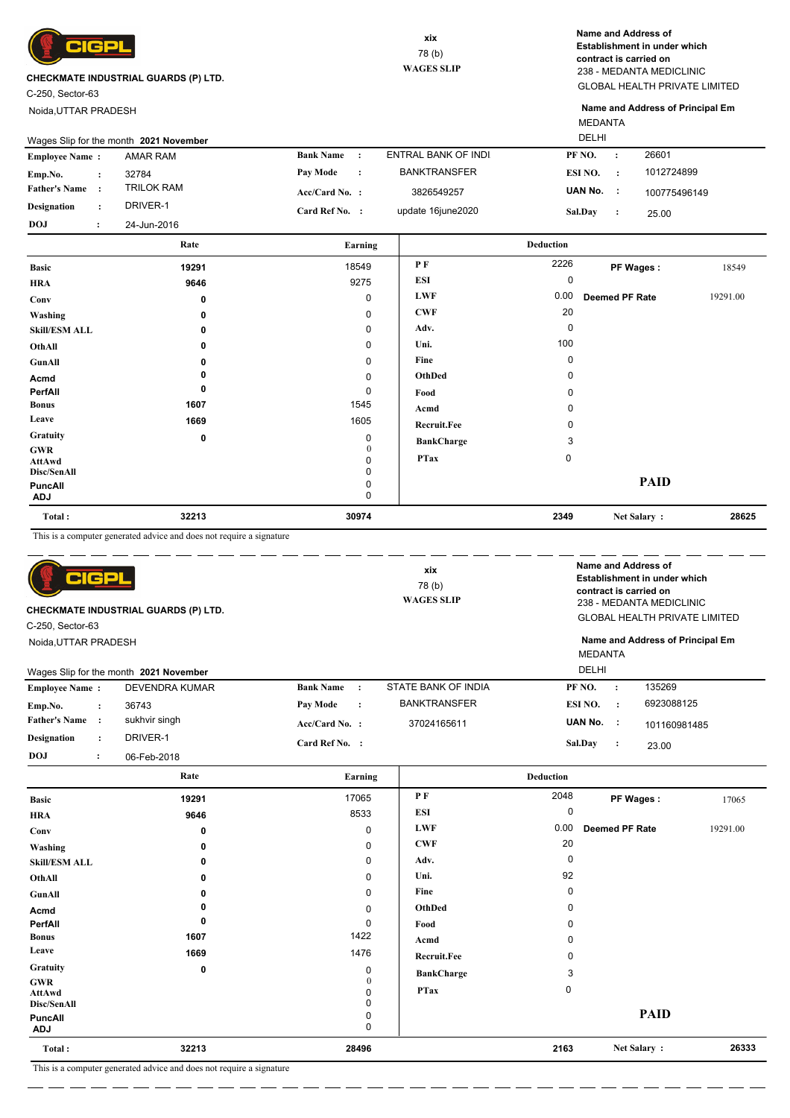

C-250, Sector-63

Noida,UTTAR PRADESH

GLOBAL HEALTH PRIVATE LIMITED 238 - MEDANTA MEDICLINIC **Name and Address of Establishment in under which contract is carried on**

MEDANTA **Name and Address of Principal Em**

|                       |           | Wages Slip for the month 2021 November |                            |                     | DELHI                |              |
|-----------------------|-----------|----------------------------------------|----------------------------|---------------------|----------------------|--------------|
| <b>Employee Name:</b> |           | AMAR RAM                               | <b>Bank Name</b>           | ENTRAL BANK OF INDI | PF NO.<br>$\cdot$ :  | 26601        |
| Emp.No.               |           | 32784                                  | Pay Mode<br>$\ddot{\cdot}$ | <b>BANKTRANSFER</b> | ESI NO.<br>$\cdot$ : | 1012724899   |
| <b>Father's Name</b>  |           | <b>TRILOK RAM</b>                      | $Acc/Card No.$ :           | 3826549257          | UAN No. :            | 100775496149 |
| <b>Designation</b>    |           | DRIVER-1                               | Card Ref No. :             | update 16june2020   | <b>Sal.Day</b>       | 25.00        |
| DOJ                   | $\bullet$ | 24-Jun-2016                            |                            |                     |                      |              |
|                       |           | Rate                                   | Earning                    |                     | <b>Deduction</b>     |              |

|                              | -----       | тат пинд    |                   | Deugenon |                       |          |
|------------------------------|-------------|-------------|-------------------|----------|-----------------------|----------|
| <b>Basic</b>                 | 19291       | 18549       | P F               | 2226     | PF Wages:             | 18549    |
| <b>HRA</b>                   | 9646        | 9275        | ESI               | 0        |                       |          |
| Conv                         | 0           | 0           | <b>LWF</b>        | 0.00     | <b>Deemed PF Rate</b> | 19291.00 |
| Washing                      | 0           | $\mathbf 0$ | <b>CWF</b>        | 20       |                       |          |
| <b>Skill/ESM ALL</b>         | 0           | $\mathbf 0$ | Adv.              | 0        |                       |          |
| OthAll                       | $\Omega$    | $\mathbf 0$ | Uni.              | 100      |                       |          |
| GunAll                       | 0           | $\mathbf 0$ | Fine              | 0        |                       |          |
| Acmd                         |             | $\mathbf 0$ | OthDed            | 0        |                       |          |
| PerfAll                      | 0           | 0           | Food              | 0        |                       |          |
| <b>Bonus</b>                 | 1607        | 1545        | Acmd              |          |                       |          |
| Leave                        | 1669        | 1605        | Recruit.Fee       |          |                       |          |
| <b>Gratuity</b>              | $\mathbf 0$ | $\mathbf 0$ | <b>BankCharge</b> | 3        |                       |          |
| GWR<br>AttAwd                |             | 0<br>ი      | <b>PTax</b>       | 0        |                       |          |
| Disc/SenAll                  |             | 0           |                   |          |                       |          |
| <b>PuncAll</b><br><b>ADJ</b> |             | 0<br>0      |                   |          | <b>PAID</b>           |          |
| Total:                       | 32213       | 30974       |                   | 2349     | Net Salary:           | 28625    |

This is a computer generated advice and does not require a signature

| C-250, Sector-63<br>Noida, UTTAR PRADESH | elcp                 | CHECKMATE INDUSTRIAL GUARDS (P) LTD.<br>Wages Slip for the month 2021 November |                  |                      | xix<br>78(b)<br><b>WAGES SLIP</b> | <b>DELHI</b> | <b>MEDANTA</b> | Name and Address of<br>Establishment in under which<br>contract is carried on<br>238 - MEDANTA MEDICLINIC<br><b>GLOBAL HEALTH PRIVATE LIMITED</b><br>Name and Address of Principal Em |
|------------------------------------------|----------------------|--------------------------------------------------------------------------------|------------------|----------------------|-----------------------------------|--------------|----------------|---------------------------------------------------------------------------------------------------------------------------------------------------------------------------------------|
| <b>Employee Name:</b>                    |                      | DEVENDRA KUMAR                                                                 | <b>Bank Name</b> | $\cdot$              | STATE BANK OF INDIA               | PF NO.       | $\cdot$        | 135269                                                                                                                                                                                |
| Emp.No.                                  | $\ddot{\phantom{a}}$ | 36743                                                                          | Pay Mode         | $\ddot{\phantom{a}}$ | <b>BANKTRANSFER</b>               | ESI NO.      | $\cdot$        | 6923088125                                                                                                                                                                            |
| <b>Father's Name</b>                     | $\cdot$              | sukhvir singh                                                                  | $Acc/Card No.$ : |                      | 37024165611                       | UAN No. :    |                | 101160981485                                                                                                                                                                          |
| <b>Designation</b>                       | $\ddot{\phantom{a}}$ | DRIVER-1                                                                       | Card Ref No. :   |                      |                                   | Sal.Day      | $\ddot{\cdot}$ | 23.00                                                                                                                                                                                 |
| <b>DOJ</b>                               | $\ddot{\cdot}$       | 06-Feb-2018                                                                    |                  |                      |                                   |              |                |                                                                                                                                                                                       |

|                              | Rate  | Earning       |                    | <b>Deduction</b> |                |          |
|------------------------------|-------|---------------|--------------------|------------------|----------------|----------|
| <b>Basic</b>                 | 19291 | 17065         | PF                 | 2048             | PF Wages:      | 17065    |
| <b>HRA</b>                   | 9646  | 8533          | <b>ESI</b>         | 0                |                |          |
| Conv                         | 0     | 0             | <b>LWF</b>         | 0.00             | Deemed PF Rate | 19291.00 |
| Washing                      | 0     | $\pmb{0}$     | <b>CWF</b>         | 20               |                |          |
| <b>Skill/ESM ALL</b>         | 0     | 0             | Adv.               | 0                |                |          |
| OthAll                       | 0     | 0             | Uni.               | 92               |                |          |
| <b>GunAll</b>                | 0     | $\pmb{0}$     | Fine               | 0                |                |          |
| Acmd                         |       | $\pmb{0}$     | OthDed             | 0                |                |          |
| PerfAll                      | 0     | 0             | Food               | 0                |                |          |
| <b>Bonus</b>                 | 1607  | 1422          | Acmd               | O                |                |          |
| Leave                        | 1669  | 1476          | <b>Recruit.Fee</b> | 0                |                |          |
| Gratuity                     | 0     | 0             | <b>BankCharge</b>  | 3                |                |          |
| <b>GWR</b><br>AttAwd         |       | 0<br>$\Omega$ | <b>PTax</b>        | $\mathbf 0$      |                |          |
| Disc/SenAll                  |       | 0             |                    |                  |                |          |
| <b>PuncAll</b><br><b>ADJ</b> |       | 0<br>0        |                    |                  | <b>PAID</b>    |          |
| Total:                       | 32213 | 28496         |                    | 2163             | Net Salary:    | 26333    |

 $\overline{\phantom{a}}$ L.

 $\overline{\phantom{a}}$  $=$   $-$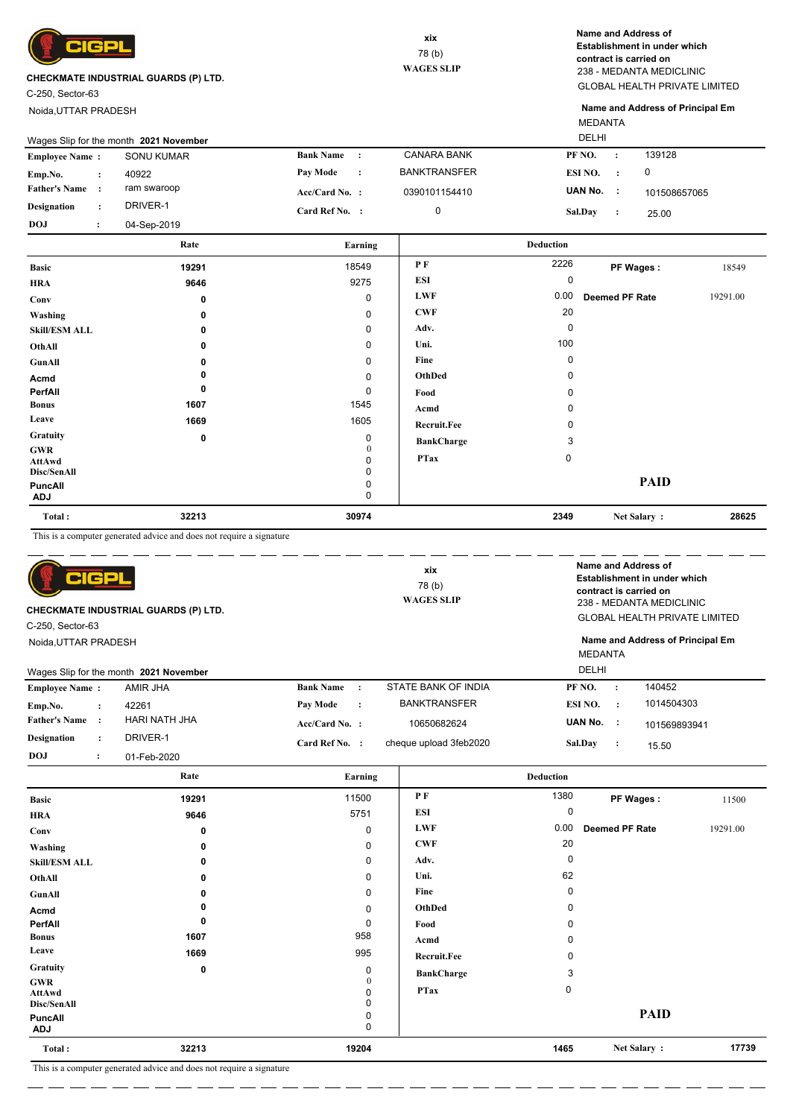

C-250, Sector-63

Noida,UTTAR PRADESH

GLOBAL HEALTH PRIVATE LIMITED 238 - MEDANTA MEDICLINIC **Name and Address of Establishment in under which contract is carried on**

MEDANTA **Name and Address of Principal Em**

| DELHI<br>Wages Slip for the month 2021 November |  |                   |                  |           |                     |                |  |              |
|-------------------------------------------------|--|-------------------|------------------|-----------|---------------------|----------------|--|--------------|
| <b>Employee Name:</b>                           |  | <b>SONU KUMAR</b> | <b>Bank Name</b> | $\cdot$ : | <b>CANARA BANK</b>  | PF NO.         |  | 139128       |
| Emp.No.                                         |  | 40922             | <b>Pay Mode</b>  | $\cdot$ : | <b>BANKTRANSFER</b> | ESI NO.        |  | 0            |
| <b>Father's Name</b>                            |  | ram swaroop       | $Acc/Card No.$ : |           | 0390101154410       | UAN No.        |  | 101508657065 |
| Designation                                     |  | DRIVER-1          | Card Ref No. :   |           |                     | <b>Sal.Day</b> |  | 25.00        |
| <b>DOJ</b>                                      |  | 04-Sep-2019       |                  |           |                     |                |  |              |

|                       | Rate        | Earning       |                   | <b>Deduction</b> |                |          |
|-----------------------|-------------|---------------|-------------------|------------------|----------------|----------|
| <b>Basic</b>          | 19291       | 18549         | PF                | 2226             | PF Wages:      | 18549    |
| <b>HRA</b>            | 9646        | 9275          | ESI               | 0                |                |          |
| Conv                  | $\mathbf 0$ | 0             | <b>LWF</b>        | 0.00             | Deemed PF Rate | 19291.00 |
| Washing               | 0           | 0             | <b>CWF</b>        | 20               |                |          |
| <b>Skill/ESM ALL</b>  | 0           | 0             | Adv.              | 0                |                |          |
| OthAll                | 0           | 0             | Uni.              | 100              |                |          |
| GunAll                | ŋ           | 0             | Fine              | 0                |                |          |
| Acmd                  |             | 0             | OthDed            | 0                |                |          |
| PerfAll               | 0           | 0             | Food              | 0                |                |          |
| <b>Bonus</b>          | 1607        | 1545          | Acmd              | 0                |                |          |
| Leave                 | 1669        | 1605          | Recruit.Fee       | 0                |                |          |
| Gratuity              | 0           | 0             | <b>BankCharge</b> | 3                |                |          |
| <b>GWR</b><br>AttAwd  |             | $\theta$<br>0 | <b>PTax</b>       | $\mathbf 0$      |                |          |
| Disc/SenAll           |             | 0             |                   |                  |                |          |
| PuncAll<br><b>ADJ</b> |             | 0<br>0        |                   |                  | <b>PAID</b>    |          |
| Total:                | 32213       | 30974         |                   | 2349             | Net Salary:    | 28625    |

This is a computer generated advice and does not require a signature

| TCP<br><b>CHECKMATE INDUSTRIAL GUARDS (P) LTD.</b><br>C-250, Sector-63<br>Noida.UTTAR PRADESH |                      |                                        |                  | Name and Address of<br>xix<br>Establishment in under which<br>78 (b)<br>contract is carried on<br><b>WAGES SLIP</b><br>238 - MEDANTA MEDICLINIC |                        |                | <b>GLOBAL HEALTH PRIVATE LIMITED</b><br>Name and Address of Principal Em |              |
|-----------------------------------------------------------------------------------------------|----------------------|----------------------------------------|------------------|-------------------------------------------------------------------------------------------------------------------------------------------------|------------------------|----------------|--------------------------------------------------------------------------|--------------|
|                                                                                               |                      |                                        |                  |                                                                                                                                                 |                        | <b>MEDANTA</b> |                                                                          |              |
|                                                                                               |                      | Wages Slip for the month 2021 November |                  |                                                                                                                                                 |                        | <b>DELHI</b>   |                                                                          |              |
| <b>Employee Name:</b>                                                                         |                      | AMIR JHA                               | <b>Bank Name</b> | $\cdot$ :                                                                                                                                       | STATE BANK OF INDIA    | PF NO.         |                                                                          | 140452       |
| Emp.No.                                                                                       | $\ddot{\phantom{a}}$ | 42261                                  | Pay Mode         | $\cdot$                                                                                                                                         | <b>BANKTRANSFER</b>    | ESI NO.        | $\ddot{\cdot}$                                                           | 1014504303   |
| <b>Father's Name</b>                                                                          | $\cdot$              | <b>HARI NATH JHA</b>                   | Acc/Card No. :   |                                                                                                                                                 | 10650682624            | UAN No. :      |                                                                          | 101569893941 |
| <b>Designation</b>                                                                            | $\ddot{\phantom{a}}$ | DRIVER-1                               | Card Ref No. :   |                                                                                                                                                 | cheque upload 3feb2020 | Sal.Day        | $\cdot$ :                                                                | 15.50        |
| DOJ                                                                                           | $\ddot{\phantom{a}}$ | 01-Feb-2020                            |                  |                                                                                                                                                 |                        |                |                                                                          |              |

|                              | Rate        | Earning      |                    | <b>Deduction</b> |                |          |
|------------------------------|-------------|--------------|--------------------|------------------|----------------|----------|
| <b>Basic</b>                 | 19291       | 11500        | P F                | 1380             | PF Wages:      | 11500    |
| <b>HRA</b>                   | 9646        | 5751         | ESI                | 0                |                |          |
| Conv                         | 0           | 0            | <b>LWF</b>         | 0.00             | Deemed PF Rate | 19291.00 |
| Washing                      | 0           | 0            | <b>CWF</b>         | 20               |                |          |
| <b>Skill/ESM ALL</b>         | 0           | 0            | Adv.               | $\mathbf 0$      |                |          |
| OthAll                       | 0           | 0            | Uni.               | 62               |                |          |
| GunAll                       | 0           | 0            | Fine               | $\Omega$         |                |          |
| Acmd                         | 0           | 0            | OthDed             | 0                |                |          |
| PerfAll                      | 0           | 0            | Food               | 0                |                |          |
| <b>Bonus</b>                 | 1607        | 958          | Acmd               | 0                |                |          |
| Leave                        | 1669        | 995          | <b>Recruit.Fee</b> | 0                |                |          |
| Gratuity                     | $\mathbf 0$ | 0            | <b>BankCharge</b>  | 3                |                |          |
| <b>GWR</b><br>AttAwd         |             | $\mathbf{0}$ | <b>PTax</b>        | 0                |                |          |
| Disc/SenAll                  |             | 0            |                    |                  |                |          |
| <b>PuncAll</b><br><b>ADJ</b> |             | 0<br>0       |                    |                  | <b>PAID</b>    |          |
| Total:                       | 32213       | 19204        |                    | 1465             | Net Salary:    | 17739    |

This is a computer generated advice and does not require a signature

. <u>. . . . . . . . . .</u> . . . .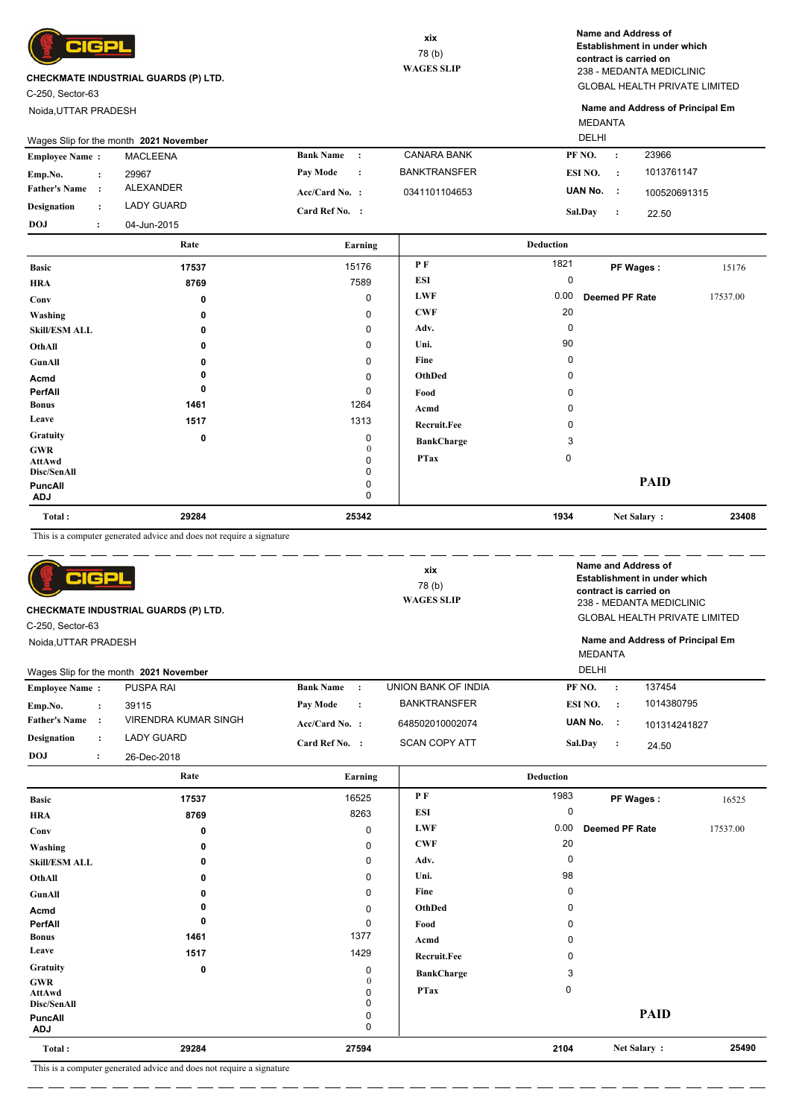

C-250, Sector-63

Noida,UTTAR PRADESH

GLOBAL HEALTH PRIVATE LIMITED 238 - MEDANTA MEDICLINIC **Name and Address of Establishment in under which contract is carried on**

MEDANTA **Name and Address of Principal Em**

| <b>DELHI</b><br>Wages Slip for the month 2021 November |  |             |                  |  |                     |         |           |              |
|--------------------------------------------------------|--|-------------|------------------|--|---------------------|---------|-----------|--------------|
| <b>Employee Name:</b>                                  |  | MACLEENA    | <b>Bank Name</b> |  | CANARA BANK         | PF NO.  | $\cdot$ : | 23966        |
| Emp.No.                                                |  | 29967       | Pay Mode         |  | <b>BANKTRANSFER</b> | ESI NO. |           | 1013761147   |
| <b>Father's Name</b>                                   |  | ALEXANDER   | $Acc/Card No.$ : |  | 0341101104653       | UAN No. |           | 100520691315 |
| <b>Designation</b>                                     |  | LADY GUARD  | Card Ref No. :   |  |                     | Sal.Day |           | 22.50        |
| <b>DOJ</b>                                             |  | 04-Jun-2015 |                  |  |                     |         |           |              |

|                       | Rate  | Earning     |                    | <b>Deduction</b> |                |          |
|-----------------------|-------|-------------|--------------------|------------------|----------------|----------|
| <b>Basic</b>          | 17537 | 15176       | PF                 | 1821             | PF Wages:      | 15176    |
| <b>HRA</b>            | 8769  | 7589        | ESI                | 0                |                |          |
| Conv                  | 0     | 0           | <b>LWF</b>         | 0.00             | Deemed PF Rate | 17537.00 |
| Washing               | 0     | 0           | <b>CWF</b>         | 20               |                |          |
| <b>Skill/ESM ALL</b>  | 0     | 0           | Adv.               | $\mathbf 0$      |                |          |
| OthAll                | 0     | 0           | Uni.               | 90               |                |          |
| GunAll                |       | $\mathbf 0$ | Fine               | 0                |                |          |
| Acmd                  |       | 0           | OthDed             | 0                |                |          |
| PerfAll               | 0     | 0           | Food               | 0                |                |          |
| <b>Bonus</b>          | 1461  | 1264        | Acmd               | 0                |                |          |
| Leave                 | 1517  | 1313        | <b>Recruit.Fee</b> | 0                |                |          |
| Gratuity              | 0     | $\mathbf 0$ | <b>BankCharge</b>  | 3                |                |          |
| <b>GWR</b><br>AttAwd  |       | $\Omega$    | <b>PTax</b>        | $\mathbf 0$      |                |          |
| Disc/SenAll           |       | 0           |                    |                  |                |          |
| PuncAll<br><b>ADJ</b> |       | 0<br>0      |                    |                  | <b>PAID</b>    |          |
| Total:                | 29284 | 25342       |                    | 1934             | Net Salary:    | 23408    |

This is a computer generated advice and does not require a signature

| TCP<br><b>CHECKMATE INDUSTRIAL GUARDS (P) LTD.</b><br>C-250, Sector-63<br>Noida.UTTAR PRADESH<br>Wages Slip for the month 2021 November |                      |                      | xix<br>78(b)<br><b>WAGES SLIP</b> |                      | <b>DELHI</b>         | Name and Address of<br>Establishment in under which<br>contract is carried on<br>238 - MEDANTA MEDICLINIC<br><b>GLOBAL HEALTH PRIVATE LIMITED</b><br>Name and Address of Principal Em<br><b>MEDANTA</b> |           |              |
|-----------------------------------------------------------------------------------------------------------------------------------------|----------------------|----------------------|-----------------------------------|----------------------|----------------------|---------------------------------------------------------------------------------------------------------------------------------------------------------------------------------------------------------|-----------|--------------|
| <b>Employee Name:</b>                                                                                                                   |                      | <b>PUSPA RAI</b>     | <b>Bank Name</b>                  | $\cdot$ :            | UNION BANK OF INDIA  | PF NO.                                                                                                                                                                                                  | $\cdot$   | 137454       |
| Emp.No.                                                                                                                                 | $\ddot{\phantom{a}}$ | 39115                | <b>Pay Mode</b>                   | $\ddot{\phantom{a}}$ | <b>BANKTRANSFER</b>  | ESI NO.                                                                                                                                                                                                 | $\cdot$ : | 1014380795   |
| <b>Father's Name</b>                                                                                                                    | $\cdot$              | VIRENDRA KUMAR SINGH | $Acc/Card No.$ :                  |                      | 648502010002074      | UAN No.                                                                                                                                                                                                 | - 11      | 101314241827 |
| <b>Designation</b>                                                                                                                      | $\ddot{\phantom{a}}$ | <b>LADY GUARD</b>    | Card Ref No. :                    |                      | <b>SCAN COPY ATT</b> | Sal.Day                                                                                                                                                                                                 | $\cdot$   | 24.50        |
| <b>DOJ</b>                                                                                                                              | $\cdot$              | 26-Dec-2018          |                                   |                      |                      |                                                                                                                                                                                                         |           |              |

|                                     | Rate                                                       | Earning     |                    | <b>Deduction</b> |                |          |
|-------------------------------------|------------------------------------------------------------|-------------|--------------------|------------------|----------------|----------|
| <b>Basic</b>                        | 17537                                                      | 16525       | P F                | 1983             | PF Wages:      | 16525    |
| <b>HRA</b>                          | 8769                                                       | 8263        | <b>ESI</b>         | 0                |                |          |
| Conv                                | 0                                                          | $\mathbf 0$ | <b>LWF</b>         | 0.00             | Deemed PF Rate | 17537.00 |
| Washing                             | $\Omega$                                                   | 0           | CWF                | 20               |                |          |
| <b>Skill/ESM ALL</b>                | 0                                                          | 0           | Adv.               | $\Omega$         |                |          |
| OthAll                              | 0                                                          | 0           | Uni.               | 98               |                |          |
| GunAll                              |                                                            | 0           | Fine               | O                |                |          |
| Acmd                                |                                                            | 0           | OthDed             | n                |                |          |
| PerfAll                             | 0                                                          | 0           | Food               |                  |                |          |
| <b>Bonus</b>                        | 1461                                                       | 1377        | Acmd               |                  |                |          |
| Leave                               | 1517                                                       | 1429        | <b>Recruit.Fee</b> |                  |                |          |
| Gratuity                            | 0                                                          | 0           | <b>BankCharge</b>  | 3                |                |          |
| <b>GWR</b><br>AttAwd<br>Disc/SenAll |                                                            | 0           | <b>PTax</b>        | 0                |                |          |
| <b>PuncAll</b><br><b>ADJ</b>        |                                                            | 0<br>0      |                    |                  | <b>PAID</b>    |          |
| Total:                              | 29284                                                      | 27594       |                    | 2104             | Net Salary:    | 25490    |
| $m \rightarrow m$                   | $-1 - 1 - 1 - 1$<br>$\sim$<br>the contract<br>$\mathbf{1}$ |             |                    |                  |                |          |

 $\overline{\phantom{a}}$ L.

\_ \_\_ \_\_ \_\_ \_

 $\overline{a}$  $=$   $-$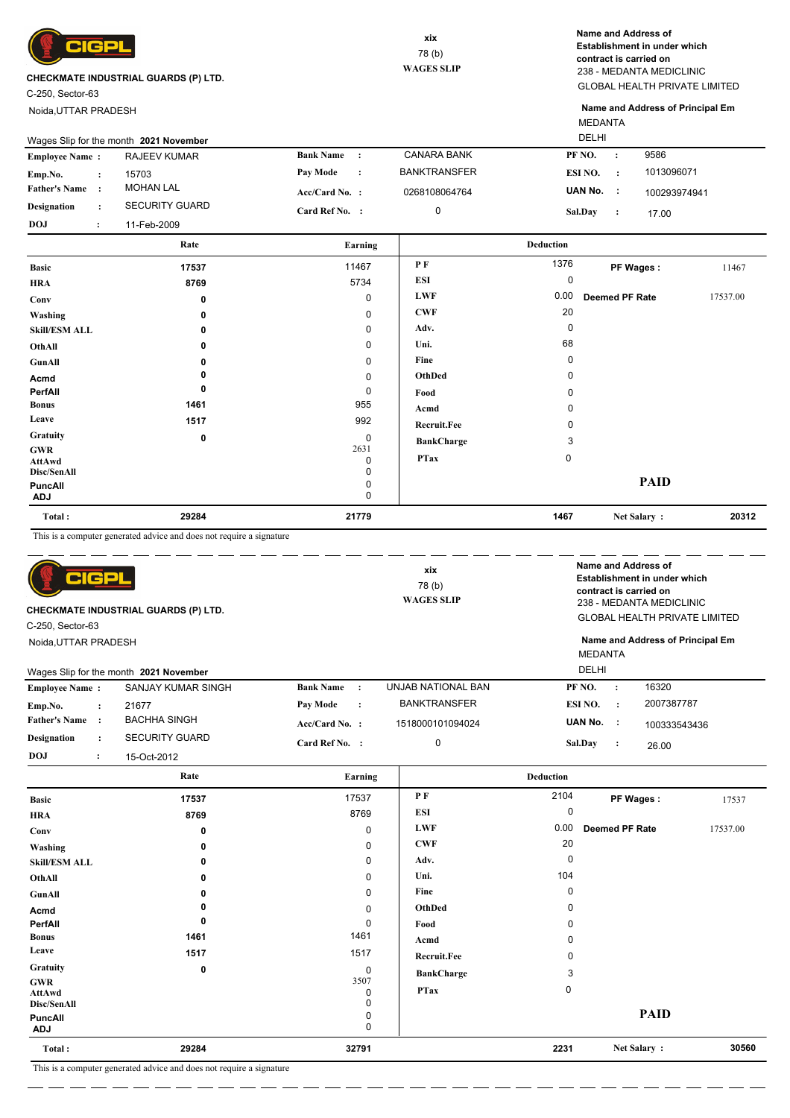

C-250, Sector-63

**GWR AttAwd Disc/SenAll PuncAll**

**Total :**

Noida,UTTAR PRADESH

GLOBAL HEALTH PRIVATE LIMITED 238 - MEDANTA MEDICLINIC **Name and Address of Establishment in under which contract is carried on**

MEDANTA **Name and Address of Principal Em**

| Wages Slip for the month 2021 November |  |                       |                  |           |                     | DELHI          |           |              |
|----------------------------------------|--|-----------------------|------------------|-----------|---------------------|----------------|-----------|--------------|
| <b>Employee Name:</b>                  |  | <b>RAJEEV KUMAR</b>   | <b>Bank Name</b> | $\cdot$ : | <b>CANARA BANK</b>  | PF NO.         | $\cdot$ : | 9586         |
| Emp.No.                                |  | 15703                 | <b>Pay Mode</b>  | $\cdot$ : | <b>BANKTRANSFER</b> | ESI NO.        |           | 1013096071   |
| <b>Father's Name</b>                   |  | <b>MOHAN LAL</b>      | $Acc/Card No.$ : |           | 0268108064764       | UAN No.        |           | 100293974941 |
| Designation                            |  | <b>SECURITY GUARD</b> | Card Ref No. :   |           | 0                   | <b>Sal.Day</b> |           | 17.00        |
| <b>DOJ</b>                             |  | 11-Feb-2009           |                  |           |                     |                |           |              |

|                              | Rate         | Earning   |                   | <b>Deduction</b> |                |          |
|------------------------------|--------------|-----------|-------------------|------------------|----------------|----------|
| <b>Basic</b>                 | 17537        | 11467     | P F               | 1376             | PF Wages:      | 11467    |
| <b>HRA</b>                   | 8769         | 5734      | <b>ESI</b>        | 0                |                |          |
| Conv                         | 0            | 0         | <b>LWF</b>        | 0.00             | Deemed PF Rate | 17537.00 |
| Washing                      | $\mathbf{0}$ | 0         | <b>CWF</b>        | 20               |                |          |
| <b>Skill/ESM ALL</b>         | 0            | 0         | Adv.              | 0                |                |          |
| OthAll                       | 0            | 0         | Uni.              | 68               |                |          |
| GunAll                       | 0            | 0         | Fine              | 0                |                |          |
| Acmd                         |              | 0         | OthDed            | 0                |                |          |
| PerfAll                      | 0            | 0         | Food              | 0                |                |          |
| <b>Bonus</b>                 | 1461         | 955       | Acmd              | 0                |                |          |
| Leave                        | 1517         | 992       | Recruit.Fee       | 0                |                |          |
| Gratuity                     | 0            | 0         | <b>BankCharge</b> | 3                |                |          |
| <b>GWR</b>                   |              | 2631<br>0 | <b>PTax</b>       | $\mathbf 0$      |                |          |
| AttAwd<br>Disc/SenAll        |              | 0         |                   |                  |                |          |
| <b>PuncAll</b><br><b>ADJ</b> |              | 0<br>0    |                   |                  | <b>PAID</b>    |          |
| Total:                       | 29284        | 21779     |                   | 1467             | Net Salary:    | 20312    |

This is a computer generated advice and does not require a signature

| <b>GP</b><br>$\blacksquare$<br>CHECKMATE INDUSTRIAL GUARDS (P) LTD.<br>C-250, Sector-63<br>Noida, UTTAR PRADESH |                                        |                               | xix<br>78 (b)<br><b>WAGES SLIP</b> | Name and Address of<br>Establishment in under which<br>contract is carried on<br>238 - MEDANTA MEDICLINIC<br><b>GLOBAL HEALTH PRIVATE LIMITED</b> |                         |          |  |
|-----------------------------------------------------------------------------------------------------------------|----------------------------------------|-------------------------------|------------------------------------|---------------------------------------------------------------------------------------------------------------------------------------------------|-------------------------|----------|--|
|                                                                                                                 |                                        |                               |                                    | Name and Address of Principal Em                                                                                                                  |                         |          |  |
|                                                                                                                 |                                        |                               |                                    | <b>DELHI</b>                                                                                                                                      | <b>MEDANTA</b>          |          |  |
|                                                                                                                 | Wages Slip for the month 2021 November |                               |                                    |                                                                                                                                                   |                         |          |  |
| <b>Employee Name:</b>                                                                                           | SANJAY KUMAR SINGH                     | <b>Bank Name</b><br>$\cdot$ : | UNJAB NATIONAL BAN                 | PF NO.                                                                                                                                            | 16320<br>$\cdot$        |          |  |
| Emp.No.<br>$\ddot{\cdot}$                                                                                       | 21677                                  | Pay Mode<br>$\cdot$           | <b>BANKTRANSFER</b>                | ESI NO.                                                                                                                                           | 2007387787<br>$\cdot$ : |          |  |
| <b>Father's Name</b><br>$\cdot$ :                                                                               | <b>BACHHA SINGH</b>                    | Acc/Card No. :                | 1518000101094024                   | UAN No.                                                                                                                                           | - 1<br>100333543436     |          |  |
| <b>Designation</b><br>$\ddot{\cdot}$                                                                            | <b>SECURITY GUARD</b>                  | Card Ref No. :                | 0                                  | Sal.Day                                                                                                                                           | $\ddot{\cdot}$<br>26.00 |          |  |
| <b>DOJ</b><br>$\ddot{\cdot}$                                                                                    | 15-Oct-2012                            |                               |                                    |                                                                                                                                                   |                         |          |  |
|                                                                                                                 | Rate                                   | Earning                       |                                    | <b>Deduction</b>                                                                                                                                  |                         |          |  |
| <b>Basic</b>                                                                                                    |                                        | 17537                         | PF                                 |                                                                                                                                                   |                         |          |  |
|                                                                                                                 | 17537                                  |                               |                                    | 2104                                                                                                                                              | PF Wages:               | 17537    |  |
|                                                                                                                 | 8769                                   | 8769                          | <b>ESI</b>                         | 0                                                                                                                                                 |                         |          |  |
|                                                                                                                 | 0                                      | 0                             | <b>LWF</b>                         | 0.00                                                                                                                                              | <b>Deemed PF Rate</b>   | 17537.00 |  |
|                                                                                                                 | 0                                      | 0                             | CWF                                | 20                                                                                                                                                |                         |          |  |
|                                                                                                                 | 0                                      | 0                             | Adv.                               | $\Omega$                                                                                                                                          |                         |          |  |
|                                                                                                                 | 0                                      | 0                             | Uni.                               | 104                                                                                                                                               |                         |          |  |
|                                                                                                                 | 0                                      | 0                             | Fine                               | 0                                                                                                                                                 |                         |          |  |
|                                                                                                                 | 0                                      | 0                             | OthDed                             | 0                                                                                                                                                 |                         |          |  |
| <b>HRA</b><br>Conv<br>Washing<br><b>Skill/ESM ALL</b><br>OthAll<br>GunAll<br>Acmd<br>PerfAll                    | 0                                      | 0                             | Food                               | 0                                                                                                                                                 |                         |          |  |
| <b>Bonus</b>                                                                                                    | 1461                                   | 1461                          | Acmd                               | <sup>0</sup>                                                                                                                                      |                         |          |  |
| Leave                                                                                                           | 1517                                   | 1517                          | <b>Recruit.Fee</b>                 | <sup>0</sup>                                                                                                                                      |                         |          |  |

3507

 $\overline{0}$  $\overline{0}$  $0$ <br> $0$  **PTax** 0

 **32791**

 **29284**

L. ц.,

**ADJ** 0

 **2231 30560 Net Salary :**

**PAID**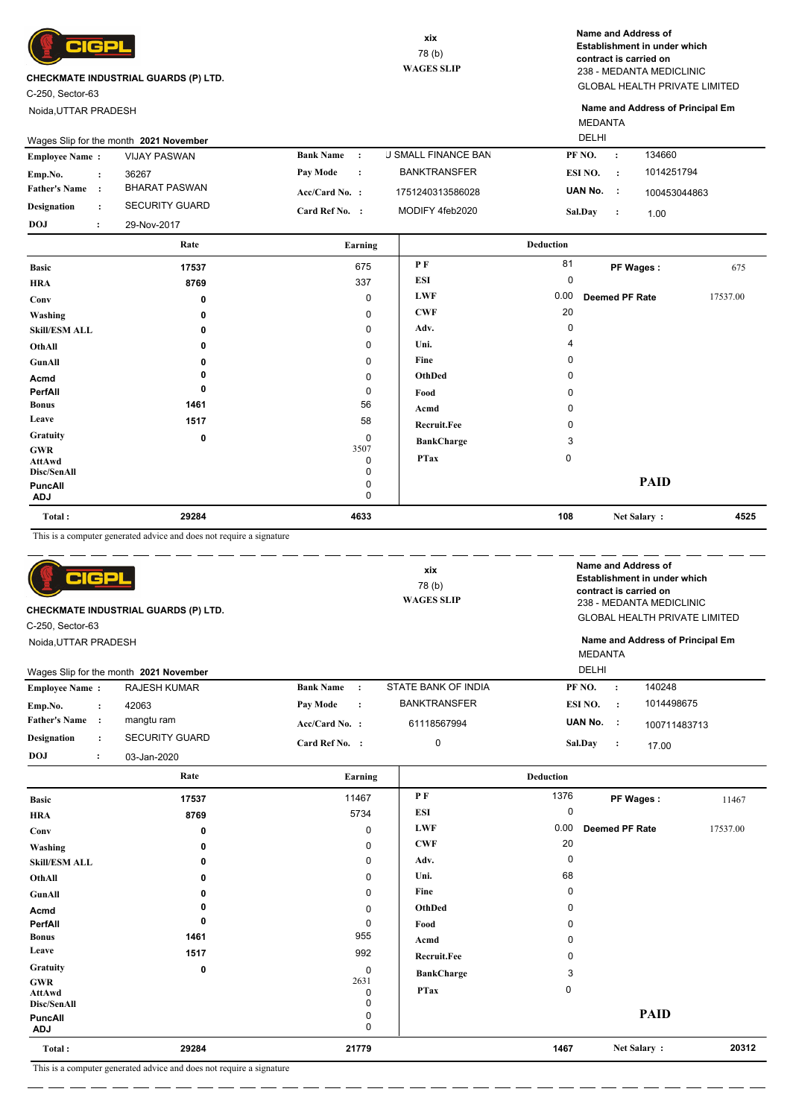

C-250, Sector-63

**Bonus Leave Gratuity GWR AttAwd Disc/SenAll PuncAll**

**Total :**

Noida,UTTAR PRADESH

GLOBAL HEALTH PRIVATE LIMITED 238 - MEDANTA MEDICLINIC **Name and Address of Establishment in under which contract is carried on**

MEDANTA **Name and Address of Principal Em**

 **108 4525 Net Salary :**

**PAID**

 0 0

|                       |                      | Wages Slip for the month 2021 November |                                   |                            | <b>DELHI</b> |                       |              |          |
|-----------------------|----------------------|----------------------------------------|-----------------------------------|----------------------------|--------------|-----------------------|--------------|----------|
| <b>Employee Name:</b> |                      | <b>VIJAY PASWAN</b>                    | <b>Bank Name:</b>                 | <b>J SMALL FINANCE BAN</b> | PF NO.       | $\sim$ :              | 134660       |          |
| Emp.No.               | $\ddot{\phantom{a}}$ | 36267                                  | <b>Pay Mode</b><br>$\mathbb{R}^n$ | <b>BANKTRANSFER</b>        | ESI NO.      | $\sim$ 1.             | 1014251794   |          |
| <b>Father's Name</b>  | $\cdot$              | <b>BHARAT PASWAN</b>                   | $Acc/Card No.$ :                  | 1751240313586028           | UAN No. :    |                       | 100453044863 |          |
| <b>Designation</b>    | $\ddot{\phantom{a}}$ | <b>SECURITY GUARD</b>                  | Card Ref No. :                    | MODIFY 4feb2020            | Sal.Day      | $\sim$ 100            | 1.00         |          |
| <b>DOJ</b>            | $\ddot{\cdot}$       | 29-Nov-2017                            |                                   |                            |              |                       |              |          |
|                       |                      | Rate                                   | Earning                           |                            | Deduction    |                       |              |          |
| <b>Basic</b>          |                      | 17537                                  | 675                               | P F                        | 81           |                       | PF Wages:    | 675      |
| <b>HRA</b>            |                      | 8769                                   | 337                               | <b>ESI</b>                 | 0            |                       |              |          |
| Conv                  |                      | 0                                      | $\Omega$                          | <b>LWF</b>                 | 0.00         | <b>Deemed PF Rate</b> |              | 17537.00 |
| Washing               |                      | 0                                      | $\Omega$                          | <b>CWF</b>                 | 20           |                       |              |          |
| <b>Skill/ESM ALL</b>  |                      | 0                                      | 0                                 | Adv.                       | 0            |                       |              |          |
| OthAll                |                      | 0                                      | $\Omega$                          | Uni.                       | 4            |                       |              |          |
| GunAll                |                      | 0                                      | 0                                 | Fine                       | 0            |                       |              |          |
| Acmd                  |                      |                                        | 0                                 | OthDed                     | 0            |                       |              |          |
| PerfAll               |                      | 0                                      | 0                                 | Food                       | 0            |                       |              |          |

 0 3507

 56 58

**Acmd Recruit.Fee**

**BankCharge** 3

**PTax** 0

 0 0  $0$ 

 **4633**

This is a computer generated advice and does not require a signature

 **1461**

 **29284**

**ADJ** 0

 **0 1517**

| CIGP<br>CHECKMATE INDUSTRIAL GUARDS (P) LTD.<br>C-250, Sector-63<br>Noida, UTTAR PRADESH |                                        |                               | xix<br>78 (b)<br><b>WAGES SLIP</b> |                  |                       | Name and Address of<br>Establishment in under which<br>contract is carried on<br>238 - MEDANTA MEDICLINIC<br><b>GLOBAL HEALTH PRIVATE LIMITED</b><br>Name and Address of Principal Em |
|------------------------------------------------------------------------------------------|----------------------------------------|-------------------------------|------------------------------------|------------------|-----------------------|---------------------------------------------------------------------------------------------------------------------------------------------------------------------------------------|
|                                                                                          |                                        |                               |                                    |                  | <b>MEDANTA</b>        |                                                                                                                                                                                       |
|                                                                                          | Wages Slip for the month 2021 November |                               |                                    | DELHI            |                       |                                                                                                                                                                                       |
| <b>Employee Name:</b>                                                                    | <b>RAJESH KUMAR</b>                    | <b>Bank Name</b><br>$\cdot$ : | STATE BANK OF INDIA                | PF NO.           | 140248<br>$\cdot$ .   |                                                                                                                                                                                       |
| Emp.No.<br>$\ddot{\cdot}$                                                                | 42063                                  | Pay Mode<br>$\ddot{\cdot}$    | <b>BANKTRANSFER</b>                | ESI NO.          | $\sim$ 1              | 1014498675                                                                                                                                                                            |
| <b>Father's Name</b><br>$\cdot$                                                          | mangtu ram                             | Acc/Card No. :                | 61118567994                        | UAN No. :        |                       | 100711483713                                                                                                                                                                          |
| Designation<br>$\ddot{\phantom{a}}$                                                      | <b>SECURITY GUARD</b>                  | Card Ref No. :                | $\mathbf 0$                        | Sal.Day          | $\cdot$ :<br>17.00    |                                                                                                                                                                                       |
| <b>DOJ</b><br>$\ddot{\cdot}$                                                             | 03-Jan-2020                            |                               |                                    |                  |                       |                                                                                                                                                                                       |
|                                                                                          | Rate                                   | Earning                       |                                    | <b>Deduction</b> |                       |                                                                                                                                                                                       |
| <b>Basic</b>                                                                             | 17537                                  | 11467                         | P F                                | 1376             | PF Wages:             | 11467                                                                                                                                                                                 |
| <b>HRA</b>                                                                               | 8769                                   | 5734                          | <b>ESI</b>                         | 0                |                       |                                                                                                                                                                                       |
| Conv                                                                                     | 0                                      | 0                             | <b>LWF</b>                         | 0.00             | <b>Deemed PF Rate</b> | 17537.00                                                                                                                                                                              |
| Washing                                                                                  | 0                                      | $\Omega$                      | <b>CWF</b>                         | 20               |                       |                                                                                                                                                                                       |
| <b>Skill/ESM ALL</b>                                                                     | 0                                      | 0                             | Adv.                               | 0                |                       |                                                                                                                                                                                       |
| OthAll                                                                                   | 0                                      | 0                             | Uni.                               | 68               |                       |                                                                                                                                                                                       |

| Total:                | 29284 | 21779       |                    | 1467     | Net Salary: | 20312 |
|-----------------------|-------|-------------|--------------------|----------|-------------|-------|
| PuncAll<br><b>ADJ</b> |       | 0<br>0      |                    |          | <b>PAID</b> |       |
| Disc/SenAll           |       | 0           |                    |          |             |       |
| AttAwd                |       | 0           | <b>PTax</b>        | 0        |             |       |
| GWR                   |       | 2631        | <b>BankCharge</b>  | 3        |             |       |
| Gratuity              | 0     | $\mathbf 0$ |                    |          |             |       |
| Leave                 | 1517  | 992         | <b>Recruit.Fee</b> | 0        |             |       |
| Bonus                 | 1461  | 955         | Acmd               | 0        |             |       |
| PerfAll               | 0     | 0           | Food               | 0        |             |       |
| Acmd                  |       | 0           | OthDed             | 0        |             |       |
| GunAll                | 0     | 0           | Fine               | 0        |             |       |
| OthAll                | 0     | 0           | Uni.               | 68       |             |       |
| <b>Skill/ESM ALL</b>  | 0     | 0           | Adv.               | $\Omega$ |             |       |
|                       |       |             |                    |          |             |       |

This is a computer generated advice and does not require a signature

L. L.

 $=$   $-$ 

 $\overline{\phantom{a}}$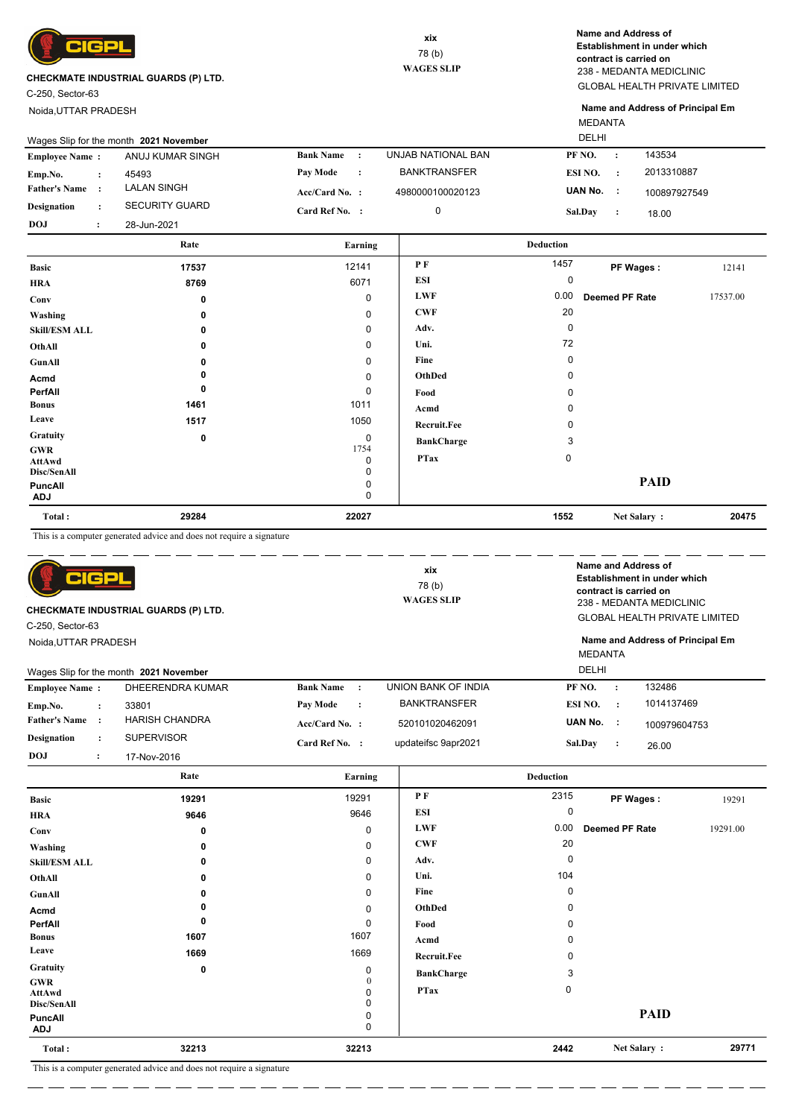

C-250, Sector-63

Noida,UTTAR PRADESH

GLOBAL HEALTH PRIVATE LIMITED 238 - MEDANTA MEDICLINIC **Name and Address of Establishment in under which contract is carried on**

MEDANTA **Name and Address of Principal Em**

|                              |                      | Rate                  | Earning<br>12141             | P F                 | <b>Deduction</b><br>1457 |                |              |  |
|------------------------------|----------------------|-----------------------|------------------------------|---------------------|--------------------------|----------------|--------------|--|
| <b>DOJ</b><br>$\ddot{\cdot}$ |                      | 28-Jun-2021           |                              |                     | Sal.Day                  | $\cdot$        | 18.00        |  |
| <b>Designation</b>           | $\ddot{\phantom{a}}$ | <b>SECURITY GUARD</b> | Card Ref No. :               | 0                   |                          |                |              |  |
| <b>Father's Name:</b>        |                      | <b>LALAN SINGH</b>    | $Acc/Card No.$ :             | 4980000100020123    | UAN No.                  | $\mathbb{R}^2$ | 100897927549 |  |
| Emp.No.                      | $\ddot{\phantom{a}}$ | 45493                 | Pay Mode<br>$\cdot$ :        | <b>BANKTRANSFER</b> | ESI NO.                  | $\cdot$        | 2013310887   |  |
| <b>Employee Name:</b>        |                      | ANUJ KUMAR SINGH      | <b>Bank Name</b><br>$\sim$ 1 | UNJAB NATIONAL BAN  | PF NO.                   | $\cdot$        | 143534       |  |

| <b>HRA</b>                          | 8769  | 6071                     | <b>ESI</b>         | $\mathbf 0$ |                |          |
|-------------------------------------|-------|--------------------------|--------------------|-------------|----------------|----------|
| Conv                                | 0     | 0                        | <b>LWF</b>         | 0.00        | Deemed PF Rate | 17537.00 |
| Washing                             | 0     | $\mathbf 0$              | <b>CWF</b>         | 20          |                |          |
| <b>Skill/ESM ALL</b>                | 0     | $\mathbf 0$              | Adv.               | 0           |                |          |
| OthAll                              | 0     | 0                        | Uni.               | 72          |                |          |
| GunAll                              |       | $\mathbf 0$              | Fine               | 0           |                |          |
| Acmd                                |       | $\mathbf 0$              | OthDed             | 0           |                |          |
| PerfAll                             | 0     | 0                        | Food               | $\mathbf 0$ |                |          |
| <b>Bonus</b>                        | 1461  | 1011                     | Acmd               | 0           |                |          |
| Leave                               | 1517  | 1050                     | <b>Recruit.Fee</b> | $\mathbf 0$ |                |          |
| Gratuity                            | 0     | $\mathbf 0$              | <b>BankCharge</b>  | 3           |                |          |
| <b>GWR</b><br>AttAwd<br>Disc/SenAll |       | 1754<br>0<br>$\mathbf 0$ | <b>PTax</b>        | 0           |                |          |
| <b>PuncAll</b><br><b>ADJ</b>        |       | 0<br>0                   |                    |             | <b>PAID</b>    |          |
| Total:                              | 29284 | 22027                    |                    | 1552        | Net Salary:    | 20475    |

This is a computer generated advice and does not require a signature

| $\blacksquare$<br><b>CHECKMATE INDUSTRIAL GUARDS (P) LTD.</b><br>C-250, Sector-63<br>Noida, UTTAR PRADESH |                                                            |                               | xix<br>78(b)<br><b>WAGES SLIP</b> |                      | Name and Address of<br>Establishment in under which<br>contract is carried on<br>238 - MEDANTA MEDICLINIC<br><b>GLOBAL HEALTH PRIVATE LIMITED</b><br>Name and Address of Principal Em |
|-----------------------------------------------------------------------------------------------------------|------------------------------------------------------------|-------------------------------|-----------------------------------|----------------------|---------------------------------------------------------------------------------------------------------------------------------------------------------------------------------------|
| <b>Employee Name:</b>                                                                                     | Wages Slip for the month 2021 November<br>DHEERENDRA KUMAR | <b>Bank Name</b><br>$\cdot$ : | UNION BANK OF INDIA               | PF NO.<br>$\cdot$    | 132486                                                                                                                                                                                |
| Emp.No.<br>$\ddot{\phantom{a}}$                                                                           | 33801                                                      | Pay Mode<br>$\cdot$           | <b>BANKTRANSFER</b>               | ESI NO.<br>$\cdot$ : | 1014137469                                                                                                                                                                            |
| <b>Father's Name</b><br>$\cdot$                                                                           | <b>HARISH CHANDRA</b>                                      | $Acc/Card No.$ :              | 520101020462091                   | UAN No.<br>- 1       | 100979604753                                                                                                                                                                          |
| <b>Designation</b><br>$\ddot{\phantom{a}}$                                                                | <b>SUPERVISOR</b>                                          | Card Ref No. :                | updateifsc 9apr2021               | Sal.Day<br>$\cdot$   | 26.00                                                                                                                                                                                 |
| <b>DOJ</b><br>$\ddot{\cdot}$                                                                              | 17-Nov-2016                                                |                               |                                   |                      |                                                                                                                                                                                       |

|                                            | Rate                                         | Earning     |                    | <b>Deduction</b> |                       |          |
|--------------------------------------------|----------------------------------------------|-------------|--------------------|------------------|-----------------------|----------|
| <b>Basic</b>                               | 19291                                        | 19291       | P F                | 2315             | PF Wages:             | 19291    |
| <b>HRA</b>                                 | 9646                                         | 9646        | <b>ESI</b>         | 0                |                       |          |
| Conv                                       | $\bf{0}$                                     | $\mathbf 0$ | <b>LWF</b>         | 0.00             | <b>Deemed PF Rate</b> | 19291.00 |
| Washing                                    | 0                                            | 0           | <b>CWF</b>         | 20               |                       |          |
| <b>Skill/ESM ALL</b>                       | $\Omega$                                     | 0           | Adv.               | $\Omega$         |                       |          |
| OthAll                                     | 0                                            | 0           | Uni.               | 104              |                       |          |
| <b>GunAll</b>                              | 0                                            | $\mathbf 0$ | Fine               | 0                |                       |          |
| Acmd                                       |                                              | 0           | OthDed             | 0                |                       |          |
| PerfAll                                    | 0                                            | 0           | Food               | O                |                       |          |
| <b>Bonus</b>                               | 1607                                         | 1607        | Acmd               | $\Omega$         |                       |          |
| Leave                                      | 1669                                         | 1669        | <b>Recruit.Fee</b> |                  |                       |          |
| Gratuity                                   | 0                                            | 0           | <b>BankCharge</b>  | 3                |                       |          |
| <b>GWR</b><br><b>AttAwd</b><br>Disc/SenAll |                                              | $\theta$    | <b>PTax</b>        | 0                |                       |          |
| PuncAll<br>ADJ                             |                                              | 0<br>0      |                    |                  | <b>PAID</b>           |          |
| Total:                                     | 32213                                        | 32213       |                    | 2442             | Net Salary:           | 29771    |
| $-$                                        | .<br>$\cdots$<br>$\sim$ $\sim$ $\sim$ $\sim$ |             |                    |                  |                       |          |

This is a computer generated advice and does not require a signature \_ \_ \_ \_ \_ \_ \_ \_

 $=$   $-$ L.

. <u>. . .</u> .